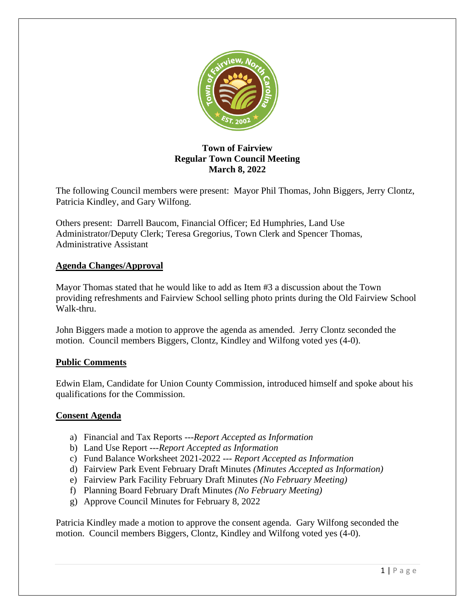

# **Town of Fairview Regular Town Council Meeting March 8, 2022**

The following Council members were present: Mayor Phil Thomas, John Biggers, Jerry Clontz, Patricia Kindley, and Gary Wilfong.

Others present: Darrell Baucom, Financial Officer; Ed Humphries, Land Use Administrator/Deputy Clerk; Teresa Gregorius, Town Clerk and Spencer Thomas, Administrative Assistant

# **Agenda Changes/Approval**

Mayor Thomas stated that he would like to add as Item #3 a discussion about the Town providing refreshments and Fairview School selling photo prints during the Old Fairview School Walk-thru.

John Biggers made a motion to approve the agenda as amended. Jerry Clontz seconded the motion. Council members Biggers, Clontz, Kindley and Wilfong voted yes (4-0).

## **Public Comments**

Edwin Elam, Candidate for Union County Commission, introduced himself and spoke about his qualifications for the Commission.

## **Consent Agenda**

- a) Financial and Tax Reports ---*Report Accepted as Information*
- b) Land Use Report ---*Report Accepted as Information*
- c) Fund Balance Worksheet 2021-2022 --- *Report Accepted as Information*
- d) Fairview Park Event February Draft Minutes *(Minutes Accepted as Information)*
- e) Fairview Park Facility February Draft Minutes *(No February Meeting)*
- f) Planning Board February Draft Minutes *(No February Meeting)*
- g) Approve Council Minutes for February 8, 2022

Patricia Kindley made a motion to approve the consent agenda. Gary Wilfong seconded the motion. Council members Biggers, Clontz, Kindley and Wilfong voted yes (4-0).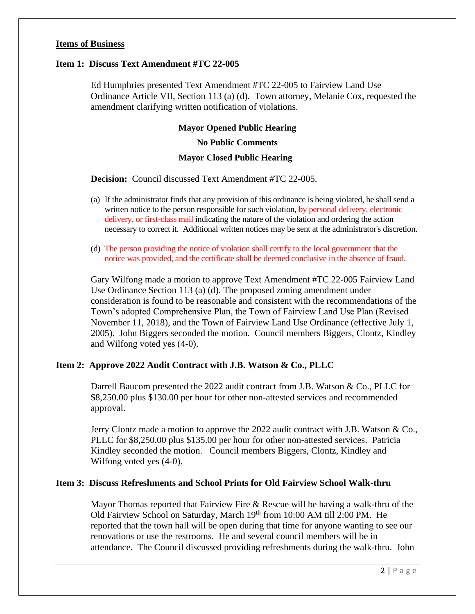## **Items of Business**

### **Item 1: Discuss Text Amendment #TC 22-005**

Ed Humphries presented Text Amendment #TC 22-005 to Fairview Land Use Ordinance Article VII, Section 113 (a) (d). Town attorney, Melanie Cox, requested the amendment clarifying written notification of violations.

#### **Mayor Opened Public Hearing**

#### **No Public Comments**

## **Mayor Closed Public Hearing**

**Decision:** Council discussed Text Amendment #TC 22-005.

- (a) If the administrator finds that any provision of this ordinance is being violated, he shall send a written notice to the person responsible for such violation, by personal delivery, electronic delivery, or first-class mail indicating the nature of the violation and ordering the action necessary to correct it. Additional written notices may be sent at the administrator's discretion.
- (d) The person providing the notice of violation shall certify to the local government that the notice was provided, and the certificate shall be deemed conclusive in the absence of fraud.

Gary Wilfong made a motion to approve Text Amendment #TC 22-005 Fairview Land Use Ordinance Section 113 (a) (d). The proposed zoning amendment under consideration is found to be reasonable and consistent with the recommendations of the Town's adopted Comprehensive Plan, the Town of Fairview Land Use Plan (Revised November 11, 2018), and the Town of Fairview Land Use Ordinance (effective July 1, 2005). John Biggers seconded the motion. Council members Biggers, Clontz, Kindley and Wilfong voted yes (4-0).

## **Item 2: Approve 2022 Audit Contract with J.B. Watson & Co., PLLC**

Darrell Baucom presented the 2022 audit contract from J.B. Watson & Co., PLLC for \$8,250.00 plus \$130.00 per hour for other non-attested services and recommended approval.

Jerry Clontz made a motion to approve the 2022 audit contract with J.B. Watson & Co., PLLC for \$8,250.00 plus \$135.00 per hour for other non-attested services. Patricia Kindley seconded the motion. Council members Biggers, Clontz, Kindley and Wilfong voted yes (4-0).

## **Item 3: Discuss Refreshments and School Prints for Old Fairview School Walk-thru**

Mayor Thomas reported that Fairview Fire & Rescue will be having a walk-thru of the Old Fairview School on Saturday, March 19th from 10:00 AM till 2:00 PM. He reported that the town hall will be open during that time for anyone wanting to see our renovations or use the restrooms. He and several council members will be in attendance. The Council discussed providing refreshments during the walk-thru. John